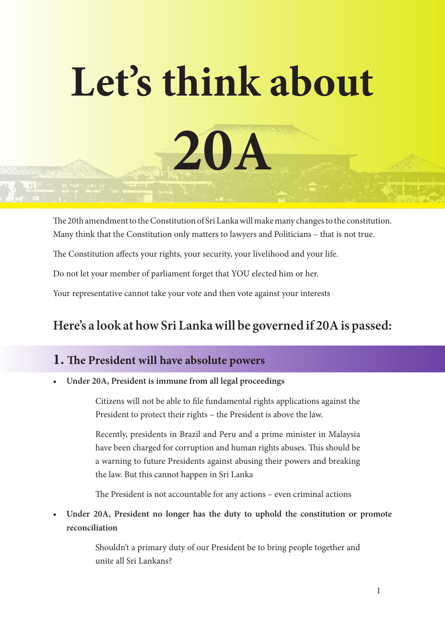# **Let's think about 20A**

The 20th amendment to the Constitution of Sri Lanka will make many changes to the constitution. Many think that the Constitution only matters to lawyers and Politicians – that is not true.

The Constitution affects your rights, your security, your livelihood and your life.

Do not let your member of parliament forget that YOU elected him or her.

Your representative cannot take your vote and then vote against your interests

# **Here's a look at how Sri Lanka will be governed if 20A is passed:**

# **1. The President will have absolute powers**

**• Under 20A, President is immune from all legal proceedings**

Citizens will not be able to file fundamental rights applications against the President to protect their rights – the President is above the law.

Recently, presidents in Brazil and Peru and a prime minister in Malaysia have been charged for corruption and human rights abuses. This should be a warning to future Presidents against abusing their powers and breaking the law. But this cannot happen in Sri Lanka

The President is not accountable for any actions – even criminal actions

**• Under 20A, President no longer has the duty to uphold the constitution or promote reconciliation**

> Shouldn't a primary duty of our President be to bring people together and unite all Sri Lankans?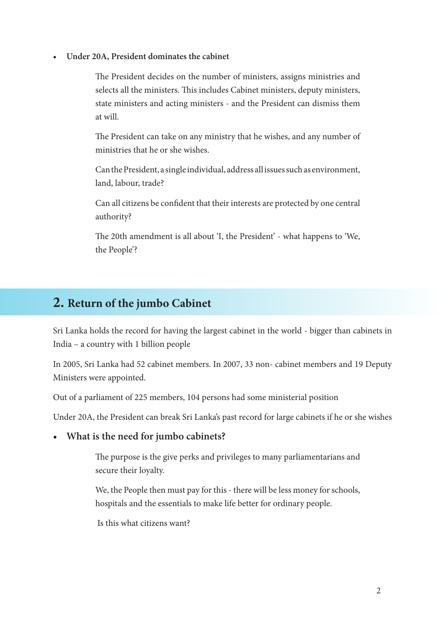#### **• Under 20A, President dominates the cabinet**

The President decides on the number of ministers, assigns ministries and selects all the ministers. This includes Cabinet ministers, deputy ministers, state ministers and acting ministers - and the President can dismiss them at will.

The President can take on any ministry that he wishes, and any number of ministries that he or she wishes.

Can the President, a single individual, address all issues such as environment, land, labour, trade?

Can all citizens be confident that their interests are protected by one central authority?

The 20th amendment is all about 'I, the President' - what happens to 'We, the People'?

### **2. Return of the jumbo Cabinet**

Sri Lanka holds the record for having the largest cabinet in the world - bigger than cabinets in India – a country with 1 billion people

In 2005, Sri Lanka had 52 cabinet members. In 2007, 33 non- cabinet members and 19 Deputy Ministers were appointed.

Out of a parliament of 225 members, 104 persons had some ministerial position

Under 20A, the President can break Sri Lanka's past record for large cabinets if he or she wishes

#### **• What is the need for jumbo cabinets?**

The purpose is the give perks and privileges to many parliamentarians and secure their loyalty.

We, the People then must pay for this - there will be less money for schools, hospitals and the essentials to make life better for ordinary people.

Is this what citizens want?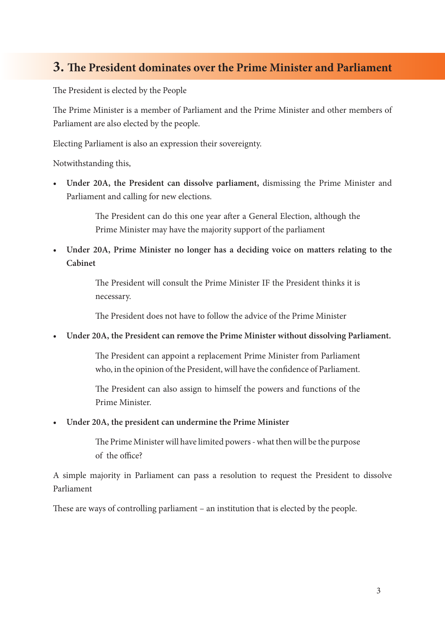# **3. The President dominates over the Prime Minister and Parliament**

The President is elected by the People

The Prime Minister is a member of Parliament and the Prime Minister and other members of Parliament are also elected by the people.

Electing Parliament is also an expression their sovereignty.

Notwithstanding this,

**• Under 20A, the President can dissolve parliament,** dismissing the Prime Minister and Parliament and calling for new elections.

> The President can do this one year after a General Election, although the Prime Minister may have the majority support of the parliament

**• Under 20A, Prime Minister no longer has a deciding voice on matters relating to the Cabinet**

> The President will consult the Prime Minister IF the President thinks it is necessary.

The President does not have to follow the advice of the Prime Minister

**• Under 20A, the President can remove the Prime Minister without dissolving Parliament.**

The President can appoint a replacement Prime Minister from Parliament who, in the opinion of the President, will have the confidence of Parliament.

The President can also assign to himself the powers and functions of the Prime Minister.

**• Under 20A, the president can undermine the Prime Minister**

The Prime Minister will have limited powers - what then will be the purpose of the office?

A simple majority in Parliament can pass a resolution to request the President to dissolve Parliament

These are ways of controlling parliament – an institution that is elected by the people.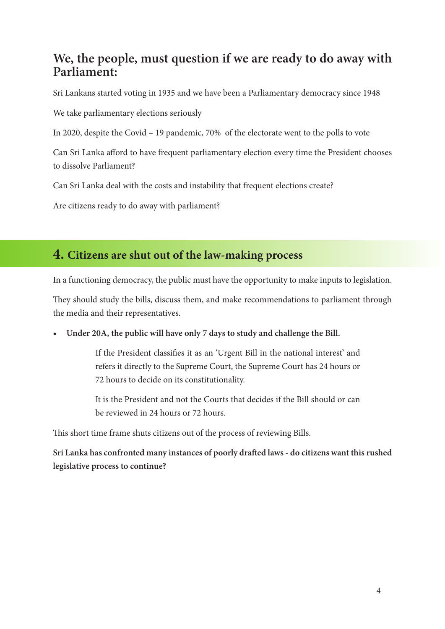# **We, the people, must question if we are ready to do away with Parliament:**

Sri Lankans started voting in 1935 and we have been a Parliamentary democracy since 1948

We take parliamentary elections seriously

In 2020, despite the Covid – 19 pandemic, 70% of the electorate went to the polls to vote

Can Sri Lanka afford to have frequent parliamentary election every time the President chooses to dissolve Parliament?

Can Sri Lanka deal with the costs and instability that frequent elections create?

Are citizens ready to do away with parliament?

# **4. Citizens are shut out of the law-making process**

In a functioning democracy, the public must have the opportunity to make inputs to legislation.

They should study the bills, discuss them, and make recommendations to parliament through the media and their representatives.

**• Under 20A, the public will have only 7 days to study and challenge the Bill.**

If the President classifies it as an 'Urgent Bill in the national interest' and refers it directly to the Supreme Court, the Supreme Court has 24 hours or 72 hours to decide on its constitutionality.

It is the President and not the Courts that decides if the Bill should or can be reviewed in 24 hours or 72 hours.

This short time frame shuts citizens out of the process of reviewing Bills.

**Sri Lanka has confronted many instances of poorly drafted laws - do citizens want this rushed legislative process to continue?**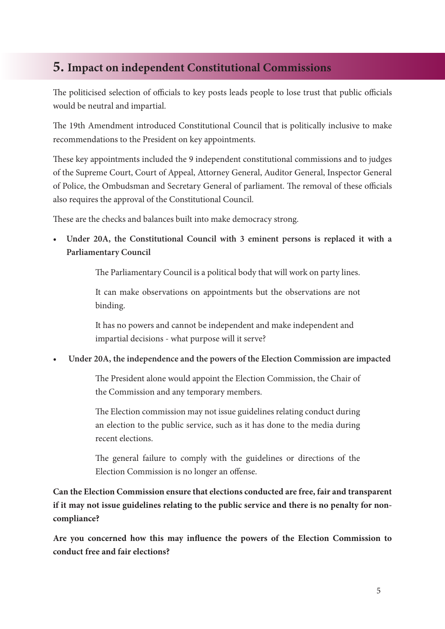# **5. Impact on independent Constitutional Commissions**

The politicised selection of officials to key posts leads people to lose trust that public officials would be neutral and impartial.

The 19th Amendment introduced Constitutional Council that is politically inclusive to make recommendations to the President on key appointments.

These key appointments included the 9 independent constitutional commissions and to judges of the Supreme Court, Court of Appeal, Attorney General, Auditor General, Inspector General of Police, the Ombudsman and Secretary General of parliament. The removal of these officials also requires the approval of the Constitutional Council.

These are the checks and balances built into make democracy strong.

**• Under 20A, the Constitutional Council with 3 eminent persons is replaced it with a Parliamentary Council**

The Parliamentary Council is a political body that will work on party lines.

It can make observations on appointments but the observations are not binding.

It has no powers and cannot be independent and make independent and impartial decisions - what purpose will it serve?

**• Under 20A, the independence and the powers of the Election Commission are impacted**

The President alone would appoint the Election Commission, the Chair of the Commission and any temporary members.

The Election commission may not issue guidelines relating conduct during an election to the public service, such as it has done to the media during recent elections.

The general failure to comply with the guidelines or directions of the Election Commission is no longer an offense.

**Can the Election Commission ensure that elections conducted are free, fair and transparent if it may not issue guidelines relating to the public service and there is no penalty for noncompliance?**

**Are you concerned how this may influence the powers of the Election Commission to conduct free and fair elections?**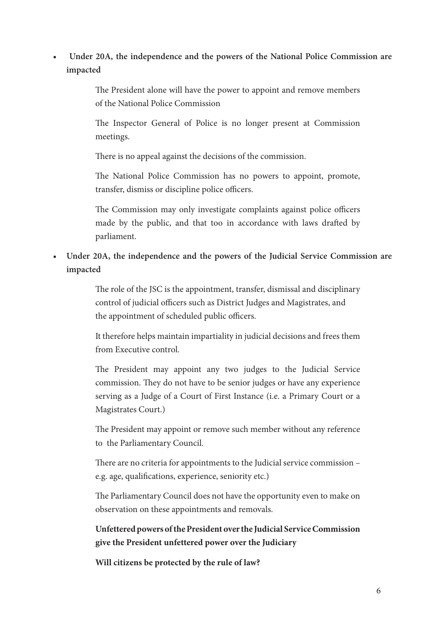#### **• Under 20A, the independence and the powers of the National Police Commission are impacted**

The President alone will have the power to appoint and remove members of the National Police Commission

The Inspector General of Police is no longer present at Commission meetings.

There is no appeal against the decisions of the commission.

The National Police Commission has no powers to appoint, promote, transfer, dismiss or discipline police officers.

The Commission may only investigate complaints against police officers made by the public, and that too in accordance with laws drafted by parliament.

**• Under 20A, the independence and the powers of the Judicial Service Commission are impacted**

> The role of the JSC is the appointment, transfer, dismissal and disciplinary control of judicial officers such as District Judges and Magistrates, and the appointment of scheduled public officers.

> It therefore helps maintain impartiality in judicial decisions and frees them from Executive control.

> The President may appoint any two judges to the Judicial Service commission. They do not have to be senior judges or have any experience serving as a Judge of a Court of First Instance (i.e. a Primary Court or a Magistrates Court.)

> The President may appoint or remove such member without any reference to the Parliamentary Council.

> There are no criteria for appointments to the Judicial service commission – e.g. age, qualifications, experience, seniority etc.)

> The Parliamentary Council does not have the opportunity even to make on observation on these appointments and removals.

> **Unfettered powers of the President over the Judicial Service Commission give the President unfettered power over the Judiciary**

**Will citizens be protected by the rule of law?**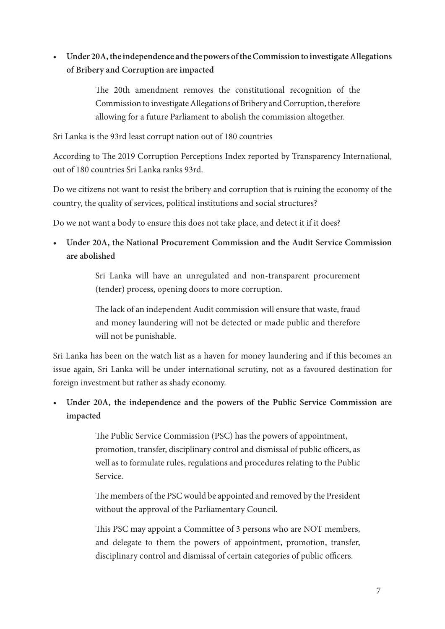#### **• Under 20A, the independence and the powers of the Commission to investigate Allegations of Bribery and Corruption are impacted**

The 20th amendment removes the constitutional recognition of the Commission to investigate Allegations of Bribery and Corruption, therefore allowing for a future Parliament to abolish the commission altogether.

Sri Lanka is the 93rd least corrupt nation out of 180 countries

According to The 2019 Corruption Perceptions Index reported by Transparency International, out of 180 countries Sri Lanka ranks 93rd.

Do we citizens not want to resist the bribery and corruption that is ruining the economy of the country, the quality of services, political institutions and social structures?

Do we not want a body to ensure this does not take place, and detect it if it does?

**• Under 20A, the National Procurement Commission and the Audit Service Commission are abolished**

> Sri Lanka will have an unregulated and non-transparent procurement (tender) process, opening doors to more corruption.

> The lack of an independent Audit commission will ensure that waste, fraud and money laundering will not be detected or made public and therefore will not be punishable.

Sri Lanka has been on the watch list as a haven for money laundering and if this becomes an issue again, Sri Lanka will be under international scrutiny, not as a favoured destination for foreign investment but rather as shady economy.

#### **• Under 20A, the independence and the powers of the Public Service Commission are impacted**

The Public Service Commission (PSC) has the powers of appointment, promotion, transfer, disciplinary control and dismissal of public officers, as well as to formulate rules, regulations and procedures relating to the Public Service.

The members of the PSC would be appointed and removed by the President without the approval of the Parliamentary Council.

This PSC may appoint a Committee of 3 persons who are NOT members, and delegate to them the powers of appointment, promotion, transfer, disciplinary control and dismissal of certain categories of public officers.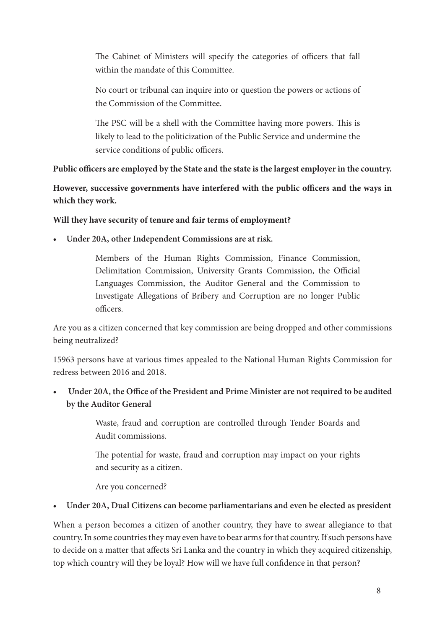The Cabinet of Ministers will specify the categories of officers that fall within the mandate of this Committee.

No court or tribunal can inquire into or question the powers or actions of the Commission of the Committee.

The PSC will be a shell with the Committee having more powers. This is likely to lead to the politicization of the Public Service and undermine the service conditions of public officers.

#### **Public officers are employed by the State and the state is the largest employer in the country.**

**However, successive governments have interfered with the public officers and the ways in which they work.** 

#### **Will they have security of tenure and fair terms of employment?**

**• Under 20A, other Independent Commissions are at risk.**

Members of the Human Rights Commission, Finance Commission, Delimitation Commission, University Grants Commission, the Official Languages Commission, the Auditor General and the Commission to Investigate Allegations of Bribery and Corruption are no longer Public officers.

Are you as a citizen concerned that key commission are being dropped and other commissions being neutralized?

15963 persons have at various times appealed to the National Human Rights Commission for redress between 2016 and 2018.

**• Under 20A, the Office of the President and Prime Minister are not required to be audited by the Auditor General**

> Waste, fraud and corruption are controlled through Tender Boards and Audit commissions.

> The potential for waste, fraud and corruption may impact on your rights and security as a citizen.

Are you concerned?

#### **• Under 20A, Dual Citizens can become parliamentarians and even be elected as president**

When a person becomes a citizen of another country, they have to swear allegiance to that country. In some countries they may even have to bear arms for that country. If such persons have to decide on a matter that affects Sri Lanka and the country in which they acquired citizenship, top which country will they be loyal? How will we have full confidence in that person?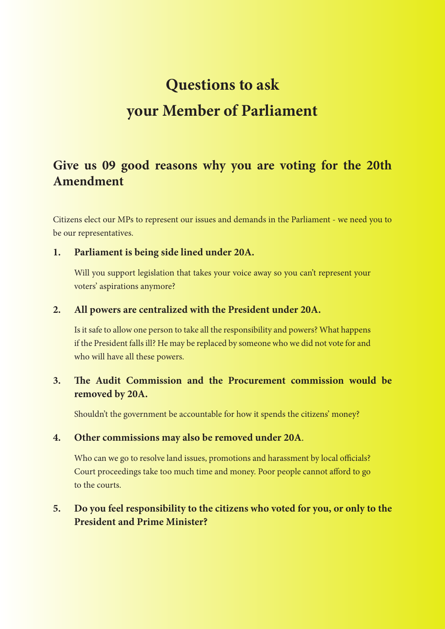# **Questions to ask your Member of Parliament**

# **Give us 09 good reasons why you are voting for the 20th Amendment**

Citizens elect our MPs to represent our issues and demands in the Parliament - we need you to be our representatives.

#### **1. Parliament is being side lined under 20A.**

Will you support legislation that takes your voice away so you can't represent your voters' aspirations anymore?

#### **2. All powers are centralized with the President under 20A.**

Is it safe to allow one person to take all the responsibility and powers? What happens if the President falls ill? He may be replaced by someone who we did not vote for and who will have all these powers.

#### **3. The Audit Commission and the Procurement commission would be removed by 20A.**

Shouldn't the government be accountable for how it spends the citizens' money?

#### **4. Other commissions may also be removed under 20A**.

Who can we go to resolve land issues, promotions and harassment by local officials? Court proceedings take too much time and money. Poor people cannot afford to go to the courts.

#### **5. Do you feel responsibility to the citizens who voted for you, or only to the President and Prime Minister?**